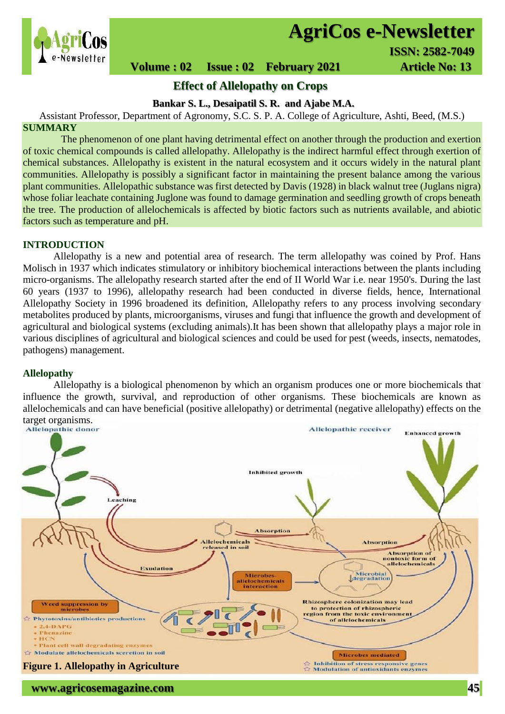

# **AgriCos e-Newsletter**

# **Volume : 02 Issue : 02 February 2021 Article No: 13**

# **Effect of Allelopathy on Crops**

# **Bankar S. L., Desaipatil S. R. and Ajabe M.A.**

Assistant Professor, Department of Agronomy, S.C. S. P. A. College of Agriculture, Ashti, Beed, (M.S.) **SUMMARY**

 The phenomenon of one plant having detrimental effect on another through the production and exertion of toxic chemical compounds is called allelopathy. Allelopathy is the indirect harmful effect through exertion of chemical substances. Allelopathy is existent in the natural ecosystem and it occurs widely in the natural plant communities. Allelopathy is possibly a significant factor in maintaining the present balance among the various plant communities. Allelopathic substance was first detected by Davis (1928) in black walnut tree (Juglans nigra) whose foliar leachate containing Juglone was found to damage germination and seedling growth of crops beneath the tree. The production of allelochemicals is affected by biotic factors such as nutrients available, and abiotic factors such as temperature and pH.

# **INTRODUCTION**

Allelopathy is a new and potential area of research. The term allelopathy was coined by Prof. Hans Molisch in 1937 which indicates stimulatory or inhibitory biochemical interactions between the plants including micro-organisms. The allelopathy research started after the end of II World War i.e. near 1950's. During the last 60 years (1937 to 1996), allelopathy research had been conducted in diverse fields, hence, International Allelopathy Society in 1996 broadened its definition, Allelopathy refers to any process involving secondary metabolites produced by plants, microorganisms, viruses and fungi that influence the growth and development of agricultural and biological systems (excluding animals).It has been shown that allelopathy plays a major role in various disciplines of agricultural and biological sciences and could be used for pest (weeds, insects, nematodes, pathogens) management.

# **Allelopathy**

Allelopathy is a biological phenomenon by which an organism produces one or more biochemicals that influence the growth, survival, and reproduction of other organisms. These biochemicals are known as allelochemicals and can have beneficial (positive allelopathy) or detrimental (negative allelopathy) effects on the target organisms.<br>Allelopathic donor

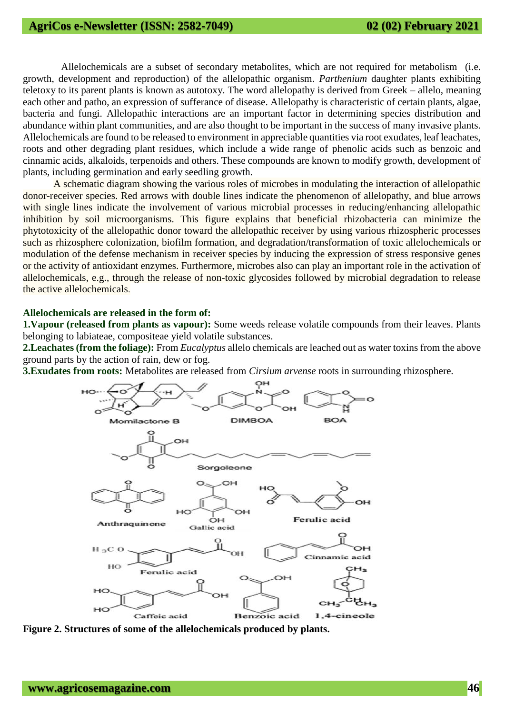Allelochemicals are a subset of secondary metabolites, which are not required for metabolism (i.e. growth, development and reproduction) of the allelopathic organism. *Parthenium* daughter plants exhibiting teletoxy to its parent plants is known as autotoxy. The word allelopathy is derived from Greek – allelo, meaning each other and patho, an expression of sufferance of disease. Allelopathy is characteristic of certain plants, algae, bacteria and fungi. Allelopathic interactions are an important factor in determining species distribution and abundance within plant communities, and are also thought to be important in the success of many invasive plants. Allelochemicals are found to be released to environment in appreciable quantities via root exudates, leaf leachates, roots and other degrading plant residues, which include a wide range of phenolic acids such as benzoic and cinnamic acids, alkaloids, terpenoids and others. These compounds are known to modify growth, development of plants, including germination and early seedling growth.

A schematic diagram showing the various roles of microbes in modulating the interaction of allelopathic donor-receiver species. Red arrows with double lines indicate the phenomenon of allelopathy, and blue arrows with single lines indicate the involvement of various microbial processes in reducing/enhancing allelopathic inhibition by soil microorganisms. This figure explains that beneficial rhizobacteria can minimize the phytotoxicity of the allelopathic donor toward the allelopathic receiver by using various rhizospheric processes such as rhizosphere colonization, biofilm formation, and degradation/transformation of toxic allelochemicals or modulation of the defense mechanism in receiver species by inducing the expression of stress responsive genes or the activity of antioxidant enzymes. Furthermore, microbes also can play an important role in the activation of allelochemicals, e.g., through the release of non-toxic glycosides followed by microbial degradation to release the active allelochemicals.

# **Allelochemicals are released in the form of:**

**1.Vapour (released from plants as vapour):** Some weeds release volatile compounds from their leaves. Plants belonging to labiateae, compositeae yield volatile substances.

**2.Leachates (from the foliage):** From *Eucalyptus* allelo chemicals are leached out as water toxins from the above ground parts by the action of rain, dew or fog.

**3.Exudates from roots:** Metabolites are released from *Cirsium arvense* roots in surrounding rhizosphere.



**Figure 2. Structures of some of the allelochemicals produced by plants.**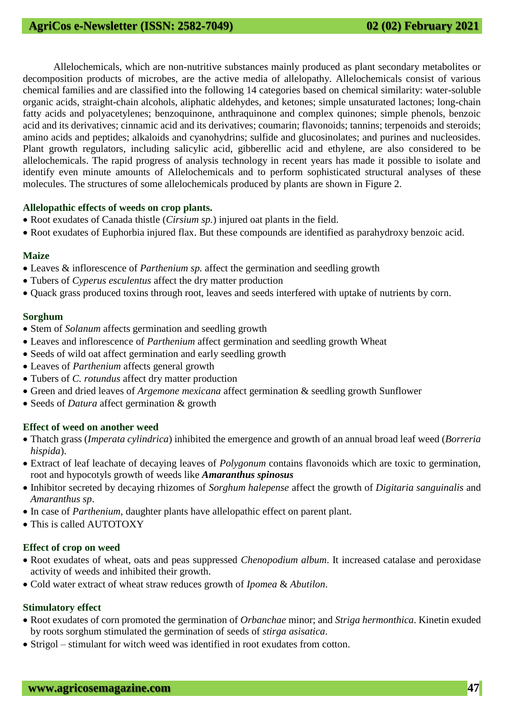Allelochemicals, which are non-nutritive substances mainly produced as plant secondary metabolites or decomposition products of microbes, are the active media of allelopathy. Allelochemicals consist of various chemical families and are classified into the following 14 categories based on chemical similarity: water-soluble organic acids, straight-chain alcohols, aliphatic aldehydes, and ketones; simple unsaturated lactones; long-chain fatty acids and polyacetylenes; benzoquinone, anthraquinone and complex quinones; simple phenols, benzoic acid and its derivatives; cinnamic acid and its derivatives; coumarin; flavonoids; tannins; terpenoids and steroids; amino acids and peptides; alkaloids and cyanohydrins; sulfide and glucosinolates; and purines and nucleosides. Plant growth regulators, including salicylic acid, gibberellic acid and ethylene, are also considered to be allelochemicals. The rapid progress of analysis technology in recent years has made it possible to isolate and identify even minute amounts of Allelochemicals and to perform sophisticated structural analyses of these molecules. The structures of some allelochemicals produced by plants are shown in Figure 2.

#### **Allelopathic effects of weeds on crop plants.**

- Root exudates of Canada thistle (*Cirsium sp.*) injured oat plants in the field.
- Root exudates of Euphorbia injured flax. But these compounds are identified as parahydroxy benzoic acid.

# **Maize**

- Leaves & inflorescence of *Parthenium sp.* affect the germination and seedling growth
- Tubers of *Cyperus esculentus* affect the dry matter production
- Ouack grass produced toxins through root, leaves and seeds interfered with uptake of nutrients by corn.

#### **Sorghum**

- Stem of *Solanum* affects germination and seedling growth
- Leaves and inflorescence of *Parthenium* affect germination and seedling growth Wheat
- Seeds of wild oat affect germination and early seedling growth
- Leaves of *Parthenium* affects general growth
- Tubers of *C. rotundus* affect dry matter production
- Green and dried leaves of *Argemone mexicana* affect germination & seedling growth Sunflower
- Seeds of *Datura* affect germination & growth

# **Effect of weed on another weed**

- Thatch grass (*Imperata cylindrica*) inhibited the emergence and growth of an annual broad leaf weed (*Borreria hispida*).
- Extract of leaf leachate of decaying leaves of *Polygonum* contains flavonoids which are toxic to germination, root and hypocotyls growth of weeds like *Amaranthus spinosus*
- Inhibitor secreted by decaying rhizomes of *Sorghum halepense* affect the growth of *Digitaria sanguinalis* and *Amaranthus sp*.
- In case of *Parthenium*, daughter plants have allelopathic effect on parent plant.
- This is called AUTOTOXY

#### **Effect of crop on weed**

- Root exudates of wheat, oats and peas suppressed *Chenopodium album*. It increased catalase and peroxidase activity of weeds and inhibited their growth.
- Cold water extract of wheat straw reduces growth of *Ipomea* & *Abutilon*.

#### **Stimulatory effect**

- Root exudates of corn promoted the germination of *Orbanchae* minor; and *Striga hermonthica*. Kinetin exuded by roots sorghum stimulated the germination of seeds of *stirga asisatica*.
- Strigol stimulant for witch weed was identified in root exudates from cotton.